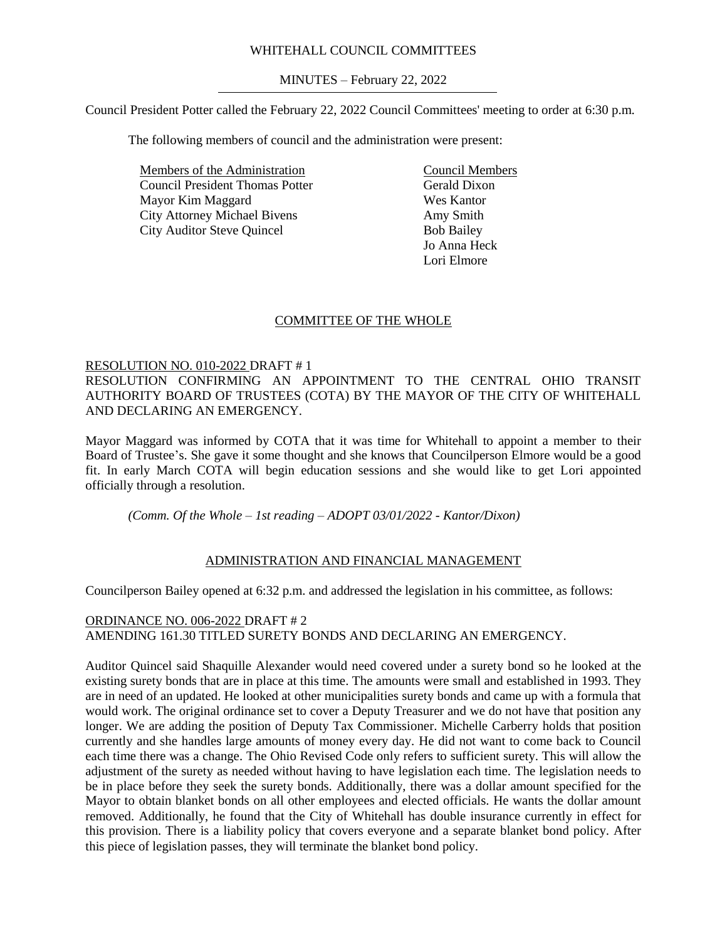# WHITEHALL COUNCIL COMMITTEES

MINUTES – February 22, 2022

Council President Potter called the February 22, 2022 Council Committees' meeting to order at 6:30 p.m.

The following members of council and the administration were present:

Members of the Administration Council President Thomas Potter Mayor Kim Maggard City Attorney Michael Bivens City Auditor Steve Quincel

Council Members Gerald Dixon Wes Kantor Amy Smith Bob Bailey Jo Anna Heck Lori Elmore

# COMMITTEE OF THE WHOLE

## RESOLUTION NO. 010-2022 DRAFT # 1

RESOLUTION CONFIRMING AN APPOINTMENT TO THE CENTRAL OHIO TRANSIT AUTHORITY BOARD OF TRUSTEES (COTA) BY THE MAYOR OF THE CITY OF WHITEHALL AND DECLARING AN EMERGENCY.

Mayor Maggard was informed by COTA that it was time for Whitehall to appoint a member to their Board of Trustee's. She gave it some thought and she knows that Councilperson Elmore would be a good fit. In early March COTA will begin education sessions and she would like to get Lori appointed officially through a resolution.

*(Comm. Of the Whole – 1st reading – ADOPT 03/01/2022 - Kantor/Dixon)*

# ADMINISTRATION AND FINANCIAL MANAGEMENT

Councilperson Bailey opened at 6:32 p.m. and addressed the legislation in his committee, as follows:

# ORDINANCE NO. 006-2022 DRAFT # 2 AMENDING 161.30 TITLED SURETY BONDS AND DECLARING AN EMERGENCY.

Auditor Quincel said Shaquille Alexander would need covered under a surety bond so he looked at the existing surety bonds that are in place at this time. The amounts were small and established in 1993. They are in need of an updated. He looked at other municipalities surety bonds and came up with a formula that would work. The original ordinance set to cover a Deputy Treasurer and we do not have that position any longer. We are adding the position of Deputy Tax Commissioner. Michelle Carberry holds that position currently and she handles large amounts of money every day. He did not want to come back to Council each time there was a change. The Ohio Revised Code only refers to sufficient surety. This will allow the adjustment of the surety as needed without having to have legislation each time. The legislation needs to be in place before they seek the surety bonds. Additionally, there was a dollar amount specified for the Mayor to obtain blanket bonds on all other employees and elected officials. He wants the dollar amount removed. Additionally, he found that the City of Whitehall has double insurance currently in effect for this provision. There is a liability policy that covers everyone and a separate blanket bond policy. After this piece of legislation passes, they will terminate the blanket bond policy.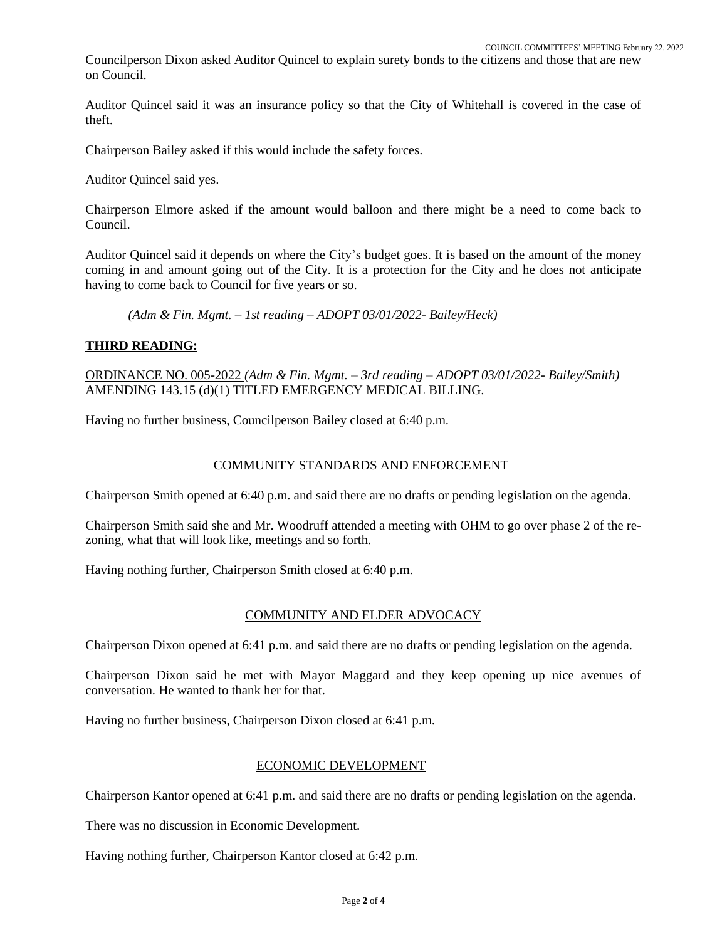Councilperson Dixon asked Auditor Quincel to explain surety bonds to the citizens and those that are new on Council.

Auditor Quincel said it was an insurance policy so that the City of Whitehall is covered in the case of theft.

Chairperson Bailey asked if this would include the safety forces.

Auditor Quincel said yes.

Chairperson Elmore asked if the amount would balloon and there might be a need to come back to Council.

Auditor Quincel said it depends on where the City's budget goes. It is based on the amount of the money coming in and amount going out of the City. It is a protection for the City and he does not anticipate having to come back to Council for five years or so.

*(Adm & Fin. Mgmt. – 1st reading – ADOPT 03/01/2022- Bailey/Heck)*

## **THIRD READING:**

ORDINANCE NO. 005-2022 *(Adm & Fin. Mgmt. – 3rd reading – ADOPT 03/01/2022- Bailey/Smith)* AMENDING 143.15 (d)(1) TITLED EMERGENCY MEDICAL BILLING.

Having no further business, Councilperson Bailey closed at 6:40 p.m.

## COMMUNITY STANDARDS AND ENFORCEMENT

Chairperson Smith opened at 6:40 p.m. and said there are no drafts or pending legislation on the agenda.

Chairperson Smith said she and Mr. Woodruff attended a meeting with OHM to go over phase 2 of the rezoning, what that will look like, meetings and so forth.

Having nothing further, Chairperson Smith closed at 6:40 p.m.

# COMMUNITY AND ELDER ADVOCACY

Chairperson Dixon opened at 6:41 p.m. and said there are no drafts or pending legislation on the agenda.

Chairperson Dixon said he met with Mayor Maggard and they keep opening up nice avenues of conversation. He wanted to thank her for that.

Having no further business, Chairperson Dixon closed at 6:41 p.m.

# ECONOMIC DEVELOPMENT

Chairperson Kantor opened at 6:41 p.m. and said there are no drafts or pending legislation on the agenda.

There was no discussion in Economic Development.

Having nothing further, Chairperson Kantor closed at 6:42 p.m.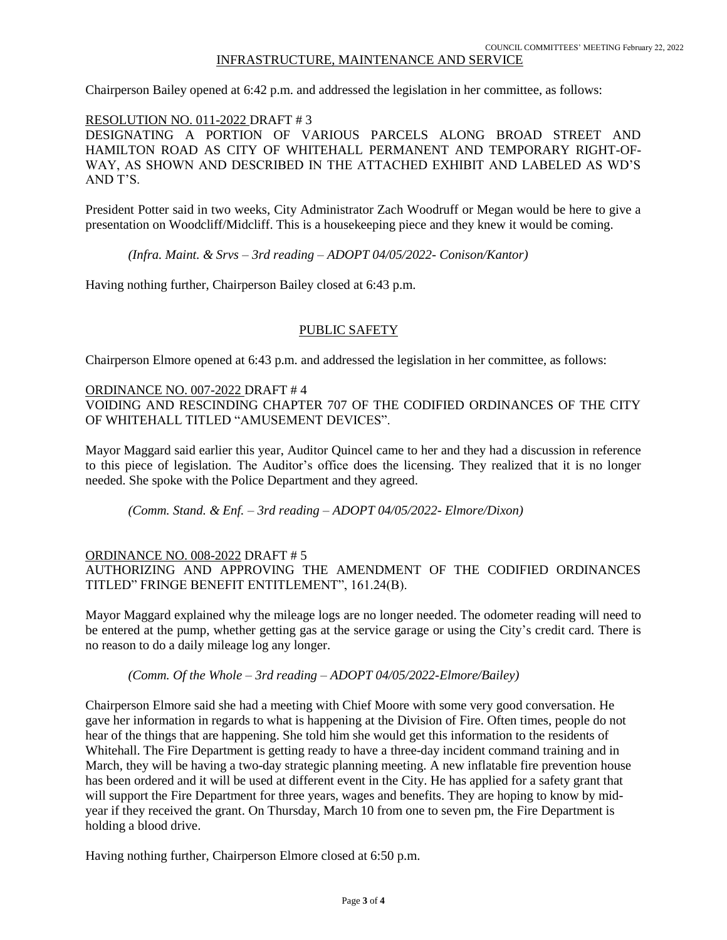# INFRASTRUCTURE, MAINTENANCE AND SERVICE

Chairperson Bailey opened at 6:42 p.m. and addressed the legislation in her committee, as follows:

### RESOLUTION NO. 011-2022 DRAFT # 3

DESIGNATING A PORTION OF VARIOUS PARCELS ALONG BROAD STREET AND HAMILTON ROAD AS CITY OF WHITEHALL PERMANENT AND TEMPORARY RIGHT-OF-WAY, AS SHOWN AND DESCRIBED IN THE ATTACHED EXHIBIT AND LABELED AS WD'S AND T'S.

President Potter said in two weeks, City Administrator Zach Woodruff or Megan would be here to give a presentation on Woodcliff/Midcliff. This is a housekeeping piece and they knew it would be coming.

*(Infra. Maint. & Srvs – 3rd reading – ADOPT 04/05/2022- Conison/Kantor)*

Having nothing further, Chairperson Bailey closed at 6:43 p.m.

## PUBLIC SAFETY

Chairperson Elmore opened at 6:43 p.m. and addressed the legislation in her committee, as follows:

### ORDINANCE NO. 007-2022 DRAFT # 4

VOIDING AND RESCINDING CHAPTER 707 OF THE CODIFIED ORDINANCES OF THE CITY OF WHITEHALL TITLED "AMUSEMENT DEVICES".

Mayor Maggard said earlier this year, Auditor Quincel came to her and they had a discussion in reference to this piece of legislation. The Auditor's office does the licensing. They realized that it is no longer needed. She spoke with the Police Department and they agreed.

*(Comm. Stand. & Enf. – 3rd reading – ADOPT 04/05/2022- Elmore/Dixon)*

### ORDINANCE NO. 008-2022 DRAFT # 5

AUTHORIZING AND APPROVING THE AMENDMENT OF THE CODIFIED ORDINANCES TITLED" FRINGE BENEFIT ENTITLEMENT", 161.24(B).

Mayor Maggard explained why the mileage logs are no longer needed. The odometer reading will need to be entered at the pump, whether getting gas at the service garage or using the City's credit card. There is no reason to do a daily mileage log any longer.

### *(Comm. Of the Whole – 3rd reading – ADOPT 04/05/2022-Elmore/Bailey)*

Chairperson Elmore said she had a meeting with Chief Moore with some very good conversation. He gave her information in regards to what is happening at the Division of Fire. Often times, people do not hear of the things that are happening. She told him she would get this information to the residents of Whitehall. The Fire Department is getting ready to have a three-day incident command training and in March, they will be having a two-day strategic planning meeting. A new inflatable fire prevention house has been ordered and it will be used at different event in the City. He has applied for a safety grant that will support the Fire Department for three years, wages and benefits. They are hoping to know by midyear if they received the grant. On Thursday, March 10 from one to seven pm, the Fire Department is holding a blood drive.

Having nothing further, Chairperson Elmore closed at 6:50 p.m.